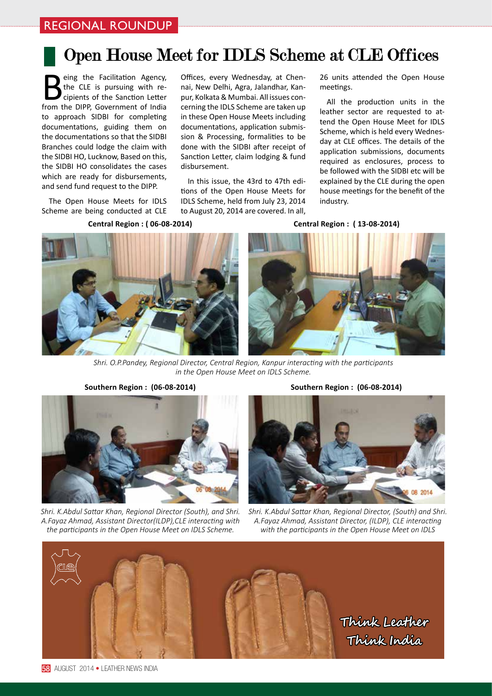## Open House Meet for IDLS Scheme at CLE Offices

**B**eing the Facilitation Agency,<br>the CLE is pursuing with recipients of the Sanction Letter<br>from the DIPP. Government of India the CLE is pursuing with recipients of the Sanction Letter from the DIPP, Government of India to approach SIDBI for completing documentations, guiding them on the documentations so that the SIDBI Branches could lodge the claim with the SIDBI HO, Lucknow, Based on this, the SIDBI HO consolidates the cases which are ready for disbursements, and send fund request to the DIPP.

The Open House Meets for IDLS Scheme are being conducted at CLE

**Central Region : ( 06-08-2014)** 

Offices, every Wednesday, at Chennai, New Delhi, Agra, Jalandhar, Kanpur, Kolkata & Mumbai. All issues concerning the IDLS Scheme are taken up in these Open House Meets including documentations, application submission & Processing, formalities to be done with the SIDBI after receipt of Sanction Letter, claim lodging & fund disbursement.

In this issue, the 43rd to 47th editions of the Open House Meets for IDLS Scheme, held from July 23, 2014 to August 20, 2014 are covered. In all,

26 units attended the Open House meetings.

All the production units in the leather sector are requested to attend the Open House Meet for IDLS Scheme, which is held every Wednesday at CLE offices. The details of the application submissions, documents required as enclosures, process to be followed with the SIDBI etc will be explained by the CLE during the open house meetings for the benefit of the industry.

**Central Region : ( 13-08-2014)**





*Shri. O.P.Pandey, Regional Director, Central Region, Kanpur interacting with the participants in the Open House Meet on IDLS Scheme.*



*Shri. K.Abdul Sattar Khan, Regional Director (South), and Shri. A.Fayaz Ahmad, Assistant Director(ILDP),CLE interacting with the participants in the Open House Meet on IDLS Scheme.*

**Southern Region : (06-08-2014) Southern Region : (06-08-2014)**



*Shri. K.Abdul Sattar Khan, Regional Director, (South) and Shri. A.Fayaz Ahmad, Assistant Director, (ILDP), CLE interacting with the participants in the Open House Meet on IDLS*